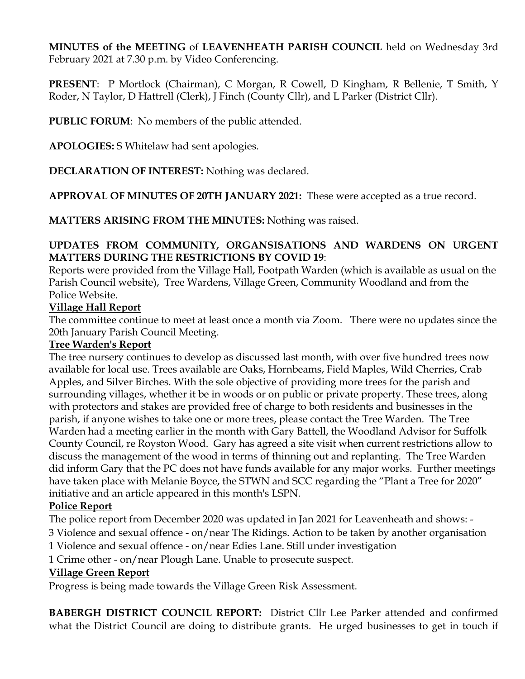**MINUTES of the MEETING** of **LEAVENHEATH PARISH COUNCIL** held on Wednesday 3rd February 2021 at 7.30 p.m. by Video Conferencing.

**PRESENT**: P Mortlock (Chairman), C Morgan, R Cowell, D Kingham, R Bellenie, T Smith, Y Roder, N Taylor, D Hattrell (Clerk), J Finch (County Cllr), and L Parker (District Cllr).

**PUBLIC FORUM**: No members of the public attended.

**APOLOGIES:** S Whitelaw had sent apologies.

**DECLARATION OF INTEREST:** Nothing was declared.

**APPROVAL OF MINUTES OF 20TH JANUARY 2021:** These were accepted as a true record.

**MATTERS ARISING FROM THE MINUTES:** Nothing was raised.

## **UPDATES FROM COMMUNITY, ORGANSISATIONS AND WARDENS ON URGENT MATTERS DURING THE RESTRICTIONS BY COVID 19**:

Reports were provided from the Village Hall, Footpath Warden (which is available as usual on the Parish Council website), Tree Wardens, Village Green, Community Woodland and from the Police Website.

## **Village Hall Report**

The committee continue to meet at least once a month via Zoom. There were no updates since the 20th January Parish Council Meeting.

### **Tree Warden's Report**

The tree nursery continues to develop as discussed last month, with over five hundred trees now available for local use. Trees available are Oaks, Hornbeams, Field Maples, Wild Cherries, Crab Apples, and Silver Birches. With the sole objective of providing more trees for the parish and surrounding villages, whether it be in woods or on public or private property. These trees, along with protectors and stakes are provided free of charge to both residents and businesses in the parish, if anyone wishes to take one or more trees, please contact the Tree Warden. The Tree Warden had a meeting earlier in the month with Gary Battell, the Woodland Advisor for Suffolk County Council, re Royston Wood. Gary has agreed a site visit when current restrictions allow to discuss the management of the wood in terms of thinning out and replanting. The Tree Warden did inform Gary that the PC does not have funds available for any major works. Further meetings have taken place with Melanie Boyce, the STWN and SCC regarding the "Plant a Tree for 2020" initiative and an article appeared in this month's LSPN.

# **Police Report**

The police report from December 2020 was updated in Jan 2021 for Leavenheath and shows: -

3 Violence and sexual offence - on/near The Ridings. Action to be taken by another organisation

1 Violence and sexual offence - on/near Edies Lane. Still under investigation

1 Crime other - on/near Plough Lane. Unable to prosecute suspect.

### **Village Green Report**

Progress is being made towards the Village Green Risk Assessment.

**BABERGH DISTRICT COUNCIL REPORT:** District Cllr Lee Parker attended and confirmed what the District Council are doing to distribute grants. He urged businesses to get in touch if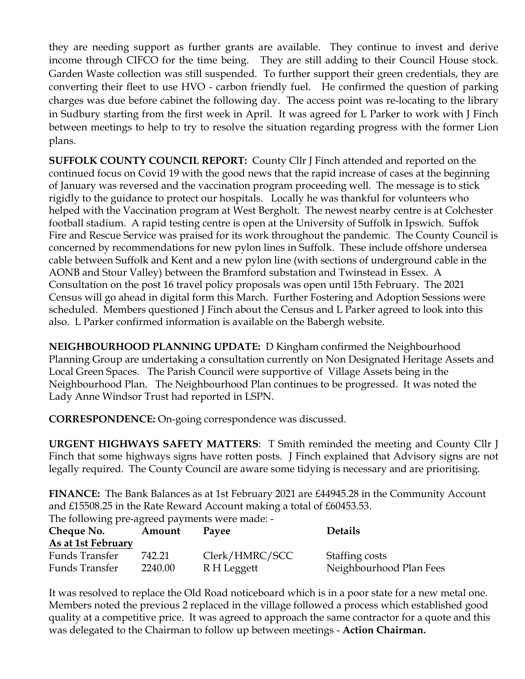they are needing support as further grants are available. They continue to invest and derive income through CIFCO for the time being. They are still adding to their Council House stock. Garden Waste collection was still suspended. To further support their green credentials, they are converting their fleet to use HVO - carbon friendly fuel. He confirmed the question of parking charges was due before cabinet the following day. The access point was re-locating to the library in Sudbury starting from the first week in April. It was agreed for L Parker to work with J Finch between meetings to help to try to resolve the situation regarding progress with the former Lion plans.

**SUFFOLK COUNTY COUNCIL REPORT:** County Cllr J Finch attended and reported on the continued focus on Covid 19 with the good news that the rapid increase of cases at the beginning of January was reversed and the vaccination program proceeding well. The message is to stick rigidly to the guidance to protect our hospitals. Locally he was thankful for volunteers who helped with the Vaccination program at West Bergholt. The newest nearby centre is at Colchester football stadium. A rapid testing centre is open at the University of Suffolk in Ipswich. Suffok Fire and Rescue Service was praised for its work throughout the pandemic. The County Council is concerned by recommendations for new pylon lines in Suffolk. These include offshore undersea cable between Suffolk and Kent and a new pylon line (with sections of underground cable in the AONB and Stour Valley) between the Bramford substation and Twinstead in Essex. A Consultation on the post 16 travel policy proposals was open until 15th February. The 2021 Census will go ahead in digital form this March. Further Fostering and Adoption Sessions were scheduled. Members questioned J Finch about the Census and L Parker agreed to look into this also. L Parker confirmed information is available on the Babergh website.

**NEIGHBOURHOOD PLANNING UPDATE:** D Kingham confirmed the Neighbourhood Planning Group are undertaking a consultation currently on Non Designated Heritage Assets and Local Green Spaces. The Parish Council were supportive of Village Assets being in the Neighbourhood Plan. The Neighbourhood Plan continues to be progressed. It was noted the Lady Anne Windsor Trust had reported in LSPN.

**CORRESPONDENCE:** On-going correspondence was discussed.

**URGENT HIGHWAYS SAFETY MATTERS**: T Smith reminded the meeting and County Cllr J Finch that some highways signs have rotten posts. J Finch explained that Advisory signs are not legally required. The County Council are aware some tidying is necessary and are prioritising.

**FINANCE:** The Bank Balances as at 1st February 2021 are £44945.28 in the Community Account and £15508.25 in the Rate Reward Account making a total of £60453.53.

| The following pre-agreed payments were made: - |         |                |                         |
|------------------------------------------------|---------|----------------|-------------------------|
| Cheque No.                                     | Amount  | Pavee          | <b>Details</b>          |
| As at 1st February                             |         |                |                         |
| Funds Transfer                                 | 742.21  | Clerk/HMRC/SCC | Staffing costs          |
| Funds Transfer                                 | 2240.00 | R H Leggett    | Neighbourhood Plan Fees |

It was resolved to replace the Old Road noticeboard which is in a poor state for a new metal one. Members noted the previous 2 replaced in the village followed a process which established good quality at a competitive price. It was agreed to approach the same contractor for a quote and this was delegated to the Chairman to follow up between meetings - **Action Chairman.**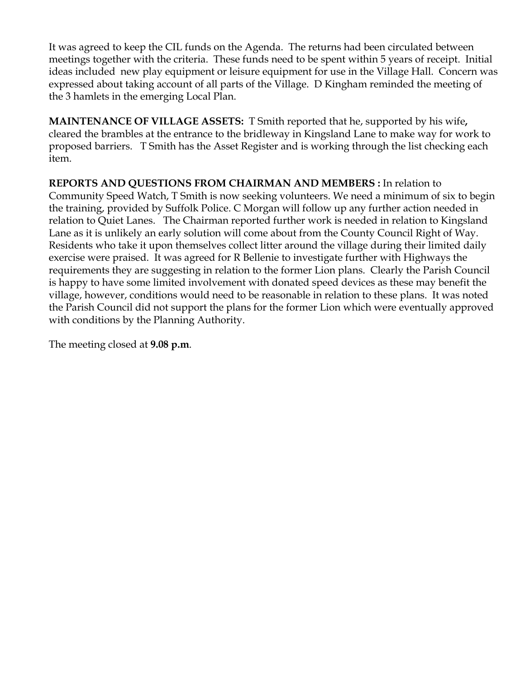It was agreed to keep the CIL funds on the Agenda. The returns had been circulated between meetings together with the criteria. These funds need to be spent within 5 years of receipt. Initial ideas included new play equipment or leisure equipment for use in the Village Hall. Concern was expressed about taking account of all parts of the Village. D Kingham reminded the meeting of the 3 hamlets in the emerging Local Plan.

**MAINTENANCE OF VILLAGE ASSETS:** T Smith reported that he, supported by his wife**,**  cleared the brambles at the entrance to the bridleway in Kingsland Lane to make way for work to proposed barriers. T Smith has the Asset Register and is working through the list checking each item.

**REPORTS AND QUESTIONS FROM CHAIRMAN AND MEMBERS :** In relation to Community Speed Watch, T Smith is now seeking volunteers. We need a minimum of six to begin the training, provided by Suffolk Police. C Morgan will follow up any further action needed in relation to Quiet Lanes. The Chairman reported further work is needed in relation to Kingsland Lane as it is unlikely an early solution will come about from the County Council Right of Way. Residents who take it upon themselves collect litter around the village during their limited daily exercise were praised. It was agreed for R Bellenie to investigate further with Highways the requirements they are suggesting in relation to the former Lion plans. Clearly the Parish Council is happy to have some limited involvement with donated speed devices as these may benefit the village, however, conditions would need to be reasonable in relation to these plans. It was noted the Parish Council did not support the plans for the former Lion which were eventually approved with conditions by the Planning Authority.

The meeting closed at **9.08 p.m**.